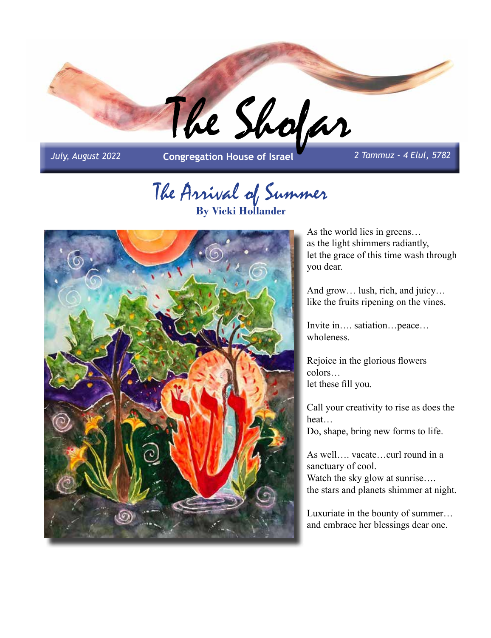

*July, August 2022* **Congregation House of Israel** *2 Tammuz - 4 Elul, 5782*

# The Arrival of Summer **By Vicki Hollander**



As the world lies in greens… as the light shimmers radiantly, let the grace of this time wash through you dear.

And grow… lush, rich, and juicy… like the fruits ripening on the vines.

Invite in…. satiation…peace… wholeness.

Rejoice in the glorious flowers colors… let these fill you.

Call your creativity to rise as does the heat…

Do, shape, bring new forms to life.

As well…. vacate…curl round in a sanctuary of cool. Watch the sky glow at sunrise.... the stars and planets shimmer at night.

Luxuriate in the bounty of summer… and embrace her blessings dear one.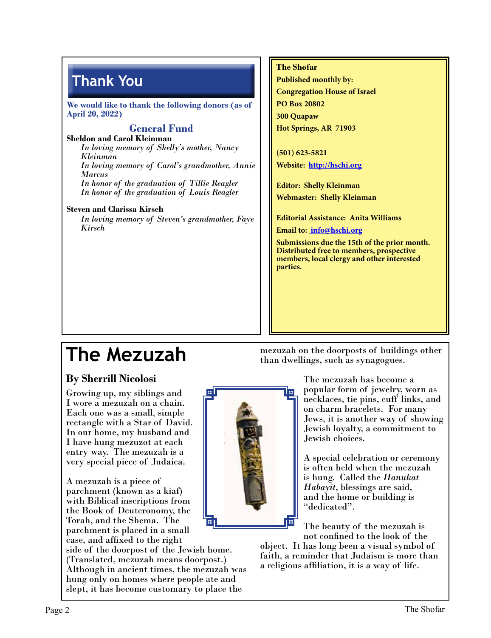### **Thank You**

**We would like to thank the following donors (as of April 20, 2022)**

#### **General Fund**

**Sheldon and Carol Kleinman** *In loving memory of Shelly's mother, Nancy Kleinman In loving memory of Carol's grandmother, Annie Marcus In honor of the graduation of Tillie Reagler In honor of the graduation of Louis Reagler*

#### **Steven and Clarissa Kirsch**

*In loving memory of Steven's grandmother, Faye Kirsch*

#### **The Shofar**

**Published monthly by: Congregation House of Israel PO Box 20802 300 Quapaw Hot Springs, AR 71903**

**(501) 623-5821 Website: http://hschi.org**

**Editor: Shelly Kleinman Webmaster: Shelly Kleinman**

**Editorial Assistance: Anita Williams**

**Email to: info@hschi.org**

**Submissions due the 15th of the prior month. Distributed free to members, prospective members, local clergy and other interested parties.**

## **The Mezuzah**

#### **By Sherrill Nicolosi**

Growing up, my siblings and I wore a mezuzah on a chain. Each one was a small, simple rectangle with a Star of David. In our home, my husband and I have hung mezuzot at each entry way. The mezuzah is a very special piece of Judaica.

A mezuzah is a piece of parchment (known as a kiaf) with Biblical inscriptions from the Book of Deuteronomy, the Torah, and the Shema. The parchment is placed in a small

case, and affixed to the right

side of the doorpost of the Jewish home. (Translated, mezuzah means doorpost.) Although in ancient times, the mezuzah was hung only on homes where people ate and slept, it has become customary to place the

mezuzah on the doorposts of buildings other than dwellings, such as synagogues.

> The mezuzah has become a popular form of jewelry, worn as necklaces, tie pins, cuff links, and on charm bracelets. For many Jews, it is another way of showing Jewish loyalty, a commitment to Jewish choices.

A special celebration or ceremony is often held when the mezuzah is hung. Called the *Hanukat Habayit*, blessings are said, and the home or building is "dedicated".

The beauty of the mezuzah is not confined to the look of the

object. It has long been a visual symbol of faith, a reminder that Judaism is more than a religious affiliation, it is a way of life.

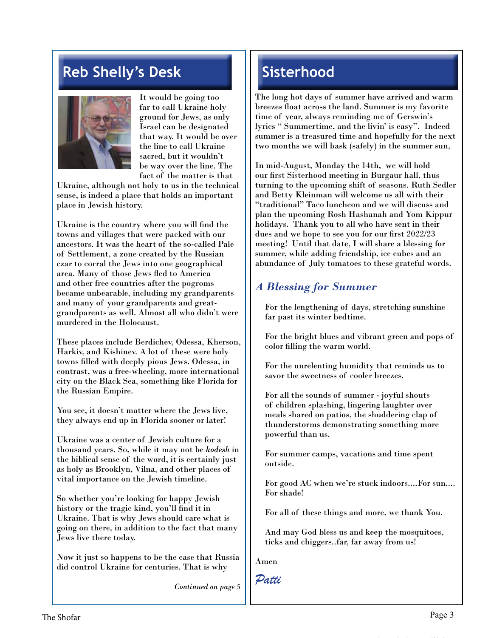### **Reb Shelly's Desk**



It would be going too far to call Ukraine holy ground for Jews, as only Israel can be designated that way. It would be over the line to call Ukraine sacred, but it wouldn't be way over the line. The fact of the matter is that

Ukraine, although not holy to us in the technical sense, is indeed a place that holds an important place in Jewish history.

Ukraine is the country where you will find the towns and villages that were packed with our ancestors. It was the heart of the so-called Pale of Settlement, a zone created by the Russian czar to corral the Jews into one geographical area. Many of those Jews fled to America and other free countries after the pogroms became unbearable, including my grandparents and many of your grandparents and greatgrandparents as well. Almost all who didn't were murdered in the Holocaust.

These places include Berdichev, Odessa, Kherson, Harkiv, and Kishinev. A lot of these were holy towns filled with deeply pious Jews. Odessa, in contrast, was a free-wheeling, more international city on the Black Sea, something like Florida for the Russian Empire.

You see, it doesn't matter where the Jews live, they always end up in Florida sooner or later!

Ukraine was a center of Jewish culture for a thousand years. So, while it may not be *kodesh* in the biblical sense of the word, it is certainly just as holy as Brooklyn, Vilna, and other places of vital importance on the Jewish timeline.

So whether you're looking for happy Jewish history or the tragic kind, you'll find it in Ukraine. That is why Jews should care what is going on there, in addition to the fact that many Jews live there today.

Now it just so happens to be the case that Russia did control Ukraine for centuries. That is why

*Continued on page 5*

### **Sisterhood**

The long hot days of summer have arrived and warm breezes float across the land. Summer is my favorite time of year, always reminding me of Gerswin's lyrics " Summertime, and the livin' is easy". Indeed summer is a treasured time and hopefully for the next two months we will bask (safely) in the summer sun,

In mid-August, Monday the 14th, we will hold our first Sisterhood meeting in Burgaur hall, thus turning to the upcoming shift of seasons. Ruth Sedler and Betty Kleinman will welcome us all with their "traditional" Taco luncheon and we will discuss and plan the upcoming Rosh Hashanah and Yom Kippur holidays. Thank you to all who have sent in their dues and we hope to see you for our first 2022/23 meeting! Until that date, I will share a blessing for summer, while adding friendship, ice cubes and an abundance of July tomatoes to these grateful words.

#### *A Blessing for Summer*

For the lengthening of days, stretching sunshine far past its winter bedtime.

For the bright blues and vibrant green and pops of color filling the warm world.

For the unrelenting humidity that reminds us to savor the sweetness of cooler breezes.

For all the sounds of summer - joyful shouts of children splashing, lingering laughter over meals shared on patios, the shuddering clap of thunderstorms demonstrating something more powerful than us.

For summer camps, vacations and time spent outside.

For good AC when we're stuck indoors....For sun.... For shade!

For all of these things and more, we thank You.

And may God bless us and keep the mosquitoes, ticks and chiggers..far, far away from us!

Amen

*Patti*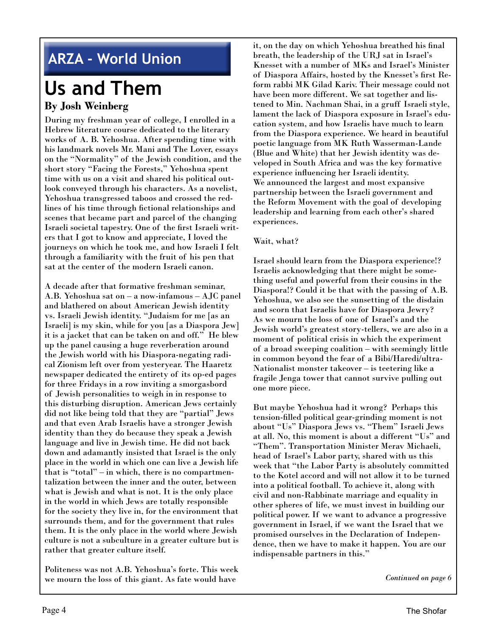### **ARZA - World Union**

# **Us and Them**

#### **By Josh Weinberg**

During my freshman year of college, I enrolled in a Hebrew literature course dedicated to the literary works of A. B. Yehoshua. After spending time with his landmark novels Mr. Mani and The Lover, essays on the "Normality" of the Jewish condition, and the short story "Facing the Forests," Yehoshua spent time with us on a visit and shared his political outlook conveyed through his characters. As a novelist, Yehoshua transgressed taboos and crossed the redlines of his time through fictional relationships and scenes that became part and parcel of the changing Israeli societal tapestry. One of the first Israeli writers that I got to know and appreciate, I loved the journeys on which he took me, and how Israeli I felt through a familiarity with the fruit of his pen that sat at the center of the modern Israeli canon.

A decade after that formative freshman seminar, A.B. Yehoshua sat on – a now-infamous – AJC panel and blathered on about American Jewish identity vs. Israeli Jewish identity. "Judaism for me [as an Israeli] is my skin, while for you [as a Diaspora Jew] it is a jacket that can be taken on and off." He blew up the panel causing a huge reverberation around the Jewish world with his Diaspora-negating radical Zionism left over from yesteryear. The Haaretz newspaper dedicated the entirety of its op-ed pages for three Fridays in a row inviting a smorgasbord of Jewish personalities to weigh in in response to this disturbing disruption. American Jews certainly did not like being told that they are "partial" Jews and that even Arab Israelis have a stronger Jewish identity than they do because they speak a Jewish language and live in Jewish time. He did not back down and adamantly insisted that Israel is the only place in the world in which one can live a Jewish life that is "total" – in which, there is no compartmentalization between the inner and the outer, between what is Jewish and what is not. It is the only place in the world in which Jews are totally responsible for the society they live in, for the environment that surrounds them, and for the government that rules them. It is the only place in the world where Jewish culture is not a subculture in a greater culture but is rather that greater culture itself.

Politeness was not A.B. Yehoshua's forte. This week we mourn the loss of this giant. As fate would have

it, on the day on which Yehoshua breathed his final breath, the leadership of the URJ sat in Israel's Knesset with a number of MKs and Israel's Minister of Diaspora Affairs, hosted by the Knesset's first Reform rabbi MK Gilad Kariv. Their message could not have been more different. We sat together and listened to Min. Nachman Shai, in a gruff Israeli style, lament the lack of Diaspora exposure in Israel's education system, and how Israelis have much to learn from the Diaspora experience. We heard in beautiful poetic language from MK Ruth Wasserman-Lande (Blue and White) that her Jewish identity was developed in South Africa and was the key formative experience influencing her Israeli identity. We announced the largest and most expansive partnership between the Israeli government and the Reform Movement with the goal of developing leadership and learning from each other's shared experiences.

#### Wait, what?

Israel should learn from the Diaspora experience!? Israelis acknowledging that there might be something useful and powerful from their cousins in the Diaspora!? Could it be that with the passing of A.B. Yehoshua, we also see the sunsetting of the disdain and scorn that Israelis have for Diaspora Jewry? As we mourn the loss of one of Israel's and the Jewish world's greatest story-tellers, we are also in a moment of political crisis in which the experiment of a broad sweeping coalition – with seemingly little in common beyond the fear of a Bibi/Haredi/ultra-Nationalist monster takeover – is teetering like a fragile Jenga tower that cannot survive pulling out one more piece.

But maybe Yehoshua had it wrong? Perhaps this tension-filled political gear-grinding moment is not about "Us" Diaspora Jews vs. "Them" Israeli Jews at all. No, this moment is about a different "Us" and "Them". Transportation Minister Merav Michaeli, head of Israel's Labor party, shared with us this week that "the Labor Party is absolutely committed to the Kotel accord and will not allow it to be turned into a political football. To achieve it, along with civil and non-Rabbinate marriage and equality in other spheres of life, we must invest in building our political power. If we want to advance a progressive government in Israel, if we want the Israel that we promised ourselves in the Declaration of Independence, then we have to make it happen. You are our indispensable partners in this."

*Continued on page 6*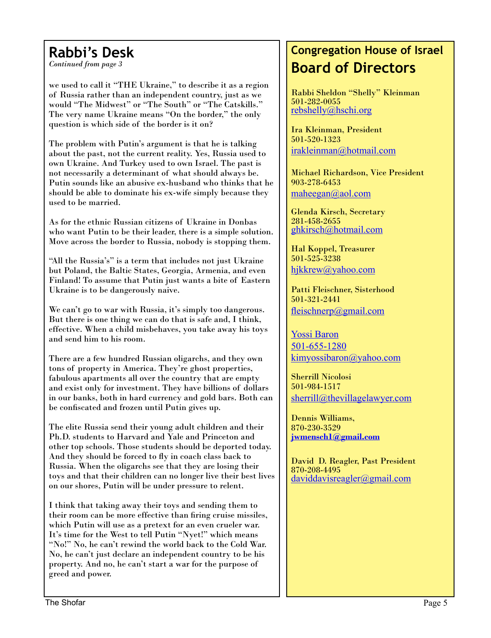### **Rabbi's Desk**

*Continued from page 3*

we used to call it "THE Ukraine," to describe it as a region of Russia rather than an independent country, just as we would "The Midwest" or "The South" or "The Catskills." The very name Ukraine means "On the border," the only question is which side of the border is it on?

The problem with Putin's argument is that he is talking about the past, not the current reality. Yes, Russia used to own Ukraine. And Turkey used to own Israel. The past is not necessarily a determinant of what should always be. Putin sounds like an abusive ex-husband who thinks that he should be able to dominate his ex-wife simply because they used to be married.

As for the ethnic Russian citizens of Ukraine in Donbas who want Putin to be their leader, there is a simple solution. Move across the border to Russia, nobody is stopping them.

"All the Russia's" is a term that includes not just Ukraine but Poland, the Baltic States, Georgia, Armenia, and even Finland! To assume that Putin just wants a bite of Eastern Ukraine is to be dangerously naive.

We can't go to war with Russia, it's simply too dangerous. But there is one thing we can do that is safe and, I think, effective. When a child misbehaves, you take away his toys and send him to his room.

There are a few hundred Russian oligarchs, and they own tons of property in America. They're ghost properties, fabulous apartments all over the country that are empty and exist only for investment. They have billions of dollars in our banks, both in hard currency and gold bars. Both can be confiscated and frozen until Putin gives up.

The elite Russia send their young adult children and their Ph.D. students to Harvard and Yale and Princeton and other top schools. Those students should be deported today. And they should be forced to fly in coach class back to Russia. When the oligarchs see that they are losing their toys and that their children can no longer live their best lives on our shores, Putin will be under pressure to relent.

I think that taking away their toys and sending them to their room can be more effective than firing cruise missiles, which Putin will use as a pretext for an even crueler war. It's time for the West to tell Putin "Nyet!" which means "No!" No, he can't rewind the world back to the Cold War. No, he can't just declare an independent country to be his property. And no, he can't start a war for the purpose of greed and power.

### **Congregation House of Israel Board of Directors**

Rabbi Sheldon "Shelly" Kleinman 501-282-0055 rebshelly@hschi.org

Ira Kleinman, President 501-520-1323 irakleinman@hotmail.com

Michael Richardson, Vice President 903-278-6453 maheegan@aol.com

Glenda Kirsch, Secretary 281-458-2655 ghkirsch@hotmail.com

Hal Koppel, Treasurer 501-525-3238 hjkkrew@yahoo.com

Patti Fleischner, Sisterhood 501-321-2441 fleischnerp@gmail.com

Yossi Baron 501-655-1280 kimyossibaron@yahoo.com

Sherrill Nicolosi 501-984-1517 sherrill@thevillagelawyer.com

Dennis Williams, 870-230-3529 **jwmensch1@gmail.com**

David D. Reagler, Past President 870-208-4495 daviddavisreagler@gmail.com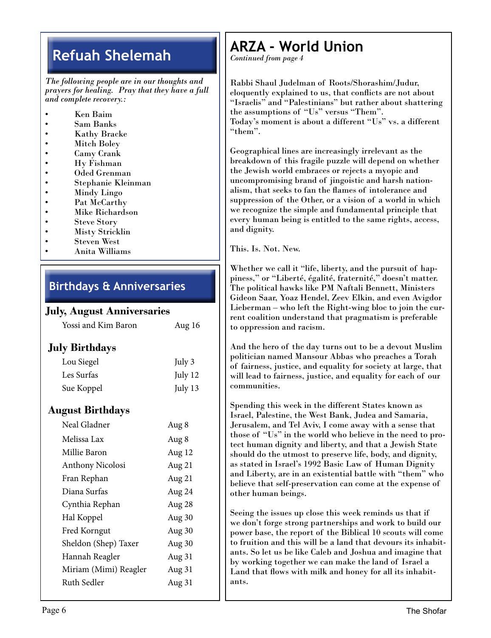### **Refuah Shelemah**

*The following people are in our thoughts and prayers for healing. Pray that they have a full and complete recovery.:*

- *•* Ken Baim
- Sam Banks
- Kathy Bracke
- Mitch Boley
- Camy Crank
- Hy Fishman
- Oded Grenman
- Stephanie Kleinman
- Mindy Lingo
- Pat McCarthy
- Mike Richardson
- Steve Story
- **Misty Stricklin**
- Steven West
- Anita Williams

#### **Birthdays & Anniversaries**

#### **July, August Anniversaries**

| Yossi and Kim Baron | Aug 16 |
|---------------------|--------|
| lv Birthdavs        |        |

#### **July Birthdays**

| Lou Siegel | July 3  |
|------------|---------|
| Les Surfas | July 12 |
| Sue Koppel | July 13 |

#### **August Birthdays**

| Neal Gladner          | Aug 8  |
|-----------------------|--------|
| Melissa Lax           | Aug 8  |
| Millie Baron          | Aug 12 |
| Anthony Nicolosi      | Aug 21 |
| Fran Rephan           | Aug 21 |
| Diana Surfas          | Aug 24 |
| Cynthia Rephan        | Aug 28 |
| Hal Koppel            | Aug 30 |
| Fred Korngut          | Aug 30 |
| Sheldon (Shep) Taxer  | Aug 30 |
| Hannah Reagler        | Aug 31 |
| Miriam (Mimi) Reagler | Aug 31 |
| Ruth Sedler           | Aug 31 |
|                       |        |

### **ARZA - World Union**

*Continued from page 4*

Rabbi Shaul Judelman of Roots/Shorashim/Judur, eloquently explained to us, that conflicts are not about "Israelis" and "Palestinians" but rather about shattering the assumptions of "Us" versus "Them". Today's moment is about a different "Us" vs. a different "them".

Geographical lines are increasingly irrelevant as the breakdown of this fragile puzzle will depend on whether the Jewish world embraces or rejects a myopic and uncompromising brand of jingoistic and harsh nationalism, that seeks to fan the flames of intolerance and suppression of the Other, or a vision of a world in which we recognize the simple and fundamental principle that every human being is entitled to the same rights, access, and dignity.

This. Is. Not. New.

Whether we call it "life, liberty, and the pursuit of happiness," or "Liberté, égalité, fraternité," doesn't matter. The political hawks like PM Naftali Bennett, Ministers Gideon Saar, Yoaz Hendel, Zeev Elkin, and even Avigdor Lieberman – who left the Right-wing bloc to join the current coalition understand that pragmatism is preferable to oppression and racism.

And the hero of the day turns out to be a devout Muslim politician named Mansour Abbas who preaches a Torah of fairness, justice, and equality for society at large, that will lead to fairness, justice, and equality for each of our communities.

Spending this week in the different States known as Israel, Palestine, the West Bank, Judea and Samaria, Jerusalem, and Tel Aviv, I come away with a sense that those of "Us" in the world who believe in the need to protect human dignity and liberty, and that a Jewish State should do the utmost to preserve life, body, and dignity, as stated in Israel's 1992 Basic Law of Human Dignity and Liberty, are in an existential battle with "them" who believe that self-preservation can come at the expense of other human beings.

Seeing the issues up close this week reminds us that if we don't forge strong partnerships and work to build our power base, the report of the Biblical 10 scouts will come to fruition and this will be a land that devours its inhabitants. So let us be like Caleb and Joshua and imagine that by working together we can make the land of Israel a Land that flows with milk and honey for all its inhabitants.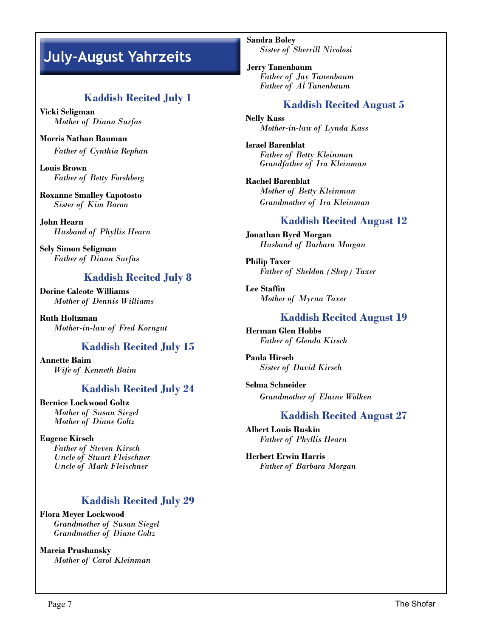### **July-August Yahrzeits**

#### **Kaddish Recited July 1**

**Vicki Seligman** *Mother of Diana Surfas*

**Morris Nathan Bauman** *Father of Cynthia Rephan*

**Louis Brown** *Father of Betty Forshberg*

**Roxanne Smalley Capotosto** *Sister of Kim Baron*

**John Hearn** *Husband of Phyllis Hearn*

**Sely Simon Seligman** *Father of Diana Surfas*

#### **Kaddish Recited July 8**

**Dorine Calcote Williams** *Mother of Dennis Williams*

**Ruth Holtzman** *Mother-in-law of Fred Korngut*

#### **Kaddish Recited July 15**

**Annette Baim** *Wife of Kenneth Baim*

#### **Kaddish Recited July 24**

**Bernice Lockwood Goltz** *Mother of Susan Siegel Mother of Diane Goltz*

**Eugene Kirsch** *Father of Steven Kirsch Uncle of Stuart Fleischner Uncle of Mark Fleischner*

#### **Kaddish Recited July 29**

**Flora Meyer Lockwood** *Grandmother of Susan Siegel Grandmother of Diane Goltz*

**Marcia Prushansky** *Mother of Carol Kleinman* **Sandra Boley** *Sister of Sherrill Nicolosi*

**Jerry Tanenbaum** *Father of Jay Tanenbaum Father of Al Tanenbaum*

#### **Kaddish Recited August 5**

**Nelly Kass** *Mother-in-law of Lynda Kass*

**Israel Barenblat** *Father of Betty Kleinman Grandfather of Ira Kleinman*

**Rachel Barenblat** *Mother of Betty Kleinman Grandmother of Ira Kleinman*

#### **Kaddish Recited August 12**

**Jonathan Byrd Morgan** *Husband of Barbara Morgan*

**Philip Taxer** *Father of Sheldon (Shep) Taxer*

**Lee Staffin** *Mother of Myrna Taxer*

#### **Kaddish Recited August 19**

**Herman Glen Hobbs** *Father of Glenda Kirsch*

**Paula Hirsch** *Sister of David Kirsch*

**Selma Schneider** *Grandmother of Elaine Wolken*

#### **Kaddish Recited August 27**

**Albert Louis Ruskin** *Father of Phyllis Hearn*

**Herbert Erwin Harris** *Father of Barbara Morgan*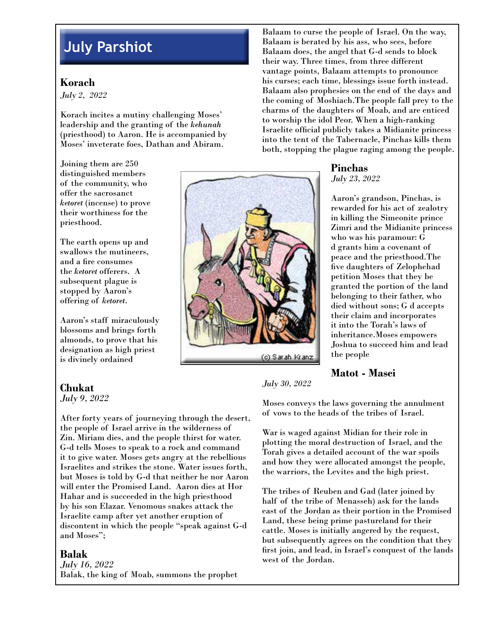### **July Parshiot**

#### **Korach**

*July 2, 2022*

Korach incites a mutiny challenging Moses' leadership and the granting of the *kehunah*  (priesthood) to Aaron. He is accompanied by Moses' inveterate foes, Dathan and Abiram.

Joining them are 250 distinguished members of the community, who offer the sacrosanct *ketoret* (incense) to prove their worthiness for the priesthood.

The earth opens up and swallows the mutineers, and a fire consumes the *ketoret* offerers. A subsequent plague is stopped by Aaron's offering of *ketoret*.

Aaron's staff miraculously blossoms and brings forth almonds, to prove that his designation as high priest is divinely ordained

#### **Chukat**

*July 9, 2022*

After forty years of journeying through the desert, the people of Israel arrive in the wilderness of Zin. Miriam dies, and the people thirst for water. G-d tells Moses to speak to a rock and command it to give water. Moses gets angry at the rebellious Israelites and strikes the stone. Water issues forth, but Moses is told by G-d that neither he nor Aaron will enter the Promised Land. Aaron dies at Hor Hahar and is succeeded in the high priesthood by his son Elazar. Venomous snakes attack the Israelite camp after yet another eruption of discontent in which the people "speak against G-d and Moses";

#### **Balak**

*July 16, 2022* Balak, the king of Moab, summons the prophet Balaam to curse the people of Israel. On the way, Balaam is berated by his ass, who sees, before Balaam does, the angel that G-d sends to block their way. Three times, from three different vantage points, Balaam attempts to pronounce his curses; each time, blessings issue forth instead. Balaam also prophesies on the end of the days and the coming of Moshiach.The people fall prey to the charms of the daughters of Moab, and are enticed to worship the idol Peor. When a high-ranking Israelite official publicly takes a Midianite princess into the tent of the Tabernacle, Pinchas kills them both, stopping the plague raging among the people.

#### **Pinchas**

*July 23, 2022*

Aaron's grandson, Pinchas, is rewarded for his act of zealotry in killing the Simeonite prince Zimri and the Midianite princess who was his paramour: G d grants him a covenant of peace and the priesthood.The five daughters of Zelophehad petition Moses that they be granted the portion of the land belonging to their father, who died without sons; G d accepts their claim and incorporates it into the Torah's laws of inheritance.Moses empowers Joshua to succeed him and lead the people

#### **Matot - Masei**

*July 30, 2022*

Moses conveys the laws governing the annulment of vows to the heads of the tribes of Israel.

War is waged against Midian for their role in plotting the moral destruction of Israel, and the Torah gives a detailed account of the war spoils and how they were allocated amongst the people, the warriors, the Levites and the high priest.

The tribes of Reuben and Gad (later joined by half of the tribe of Menasseh) ask for the lands east of the Jordan as their portion in the Promised Land, these being prime pastureland for their cattle. Moses is initially angered by the request, but subsequently agrees on the condition that they first join, and lead, in Israel's conquest of the lands west of the Jordan.